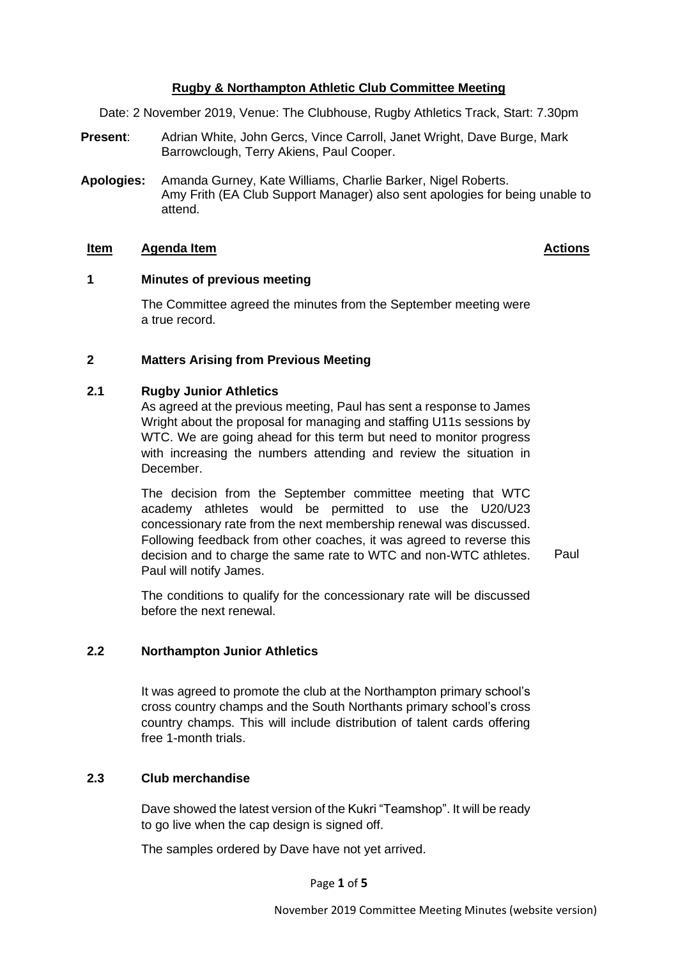# **Rugby & Northampton Athletic Club Committee Meeting**

Date: 2 November 2019, Venue: The Clubhouse, Rugby Athletics Track, Start: 7.30pm

- **Present**: Adrian White, John Gercs, Vince Carroll, Janet Wright, Dave Burge, Mark Barrowclough, Terry Akiens, Paul Cooper.
- **Apologies:** Amanda Gurney, Kate Williams, Charlie Barker, Nigel Roberts. Amy Frith (EA Club Support Manager) also sent apologies for being unable to attend.

#### **Item Agenda Item Actions**

## **1 Minutes of previous meeting**

The Committee agreed the minutes from the September meeting were a true record.

# **2 Matters Arising from Previous Meeting**

#### **2.1 Rugby Junior Athletics**

As agreed at the previous meeting, Paul has sent a response to James Wright about the proposal for managing and staffing U11s sessions by WTC. We are going ahead for this term but need to monitor progress with increasing the numbers attending and review the situation in December.

The decision from the September committee meeting that WTC academy athletes would be permitted to use the U20/U23 concessionary rate from the next membership renewal was discussed. Following feedback from other coaches, it was agreed to reverse this decision and to charge the same rate to WTC and non-WTC athletes. Paul will notify James.

Paul

The conditions to qualify for the concessionary rate will be discussed before the next renewal.

# **2.2 Northampton Junior Athletics**

It was agreed to promote the club at the Northampton primary school's cross country champs and the South Northants primary school's cross country champs. This will include distribution of talent cards offering free 1-month trials.

# **2.3 Club merchandise**

Dave showed the latest version of the Kukri "Teamshop". It will be ready to go live when the cap design is signed off.

The samples ordered by Dave have not yet arrived.

Page **1** of **5**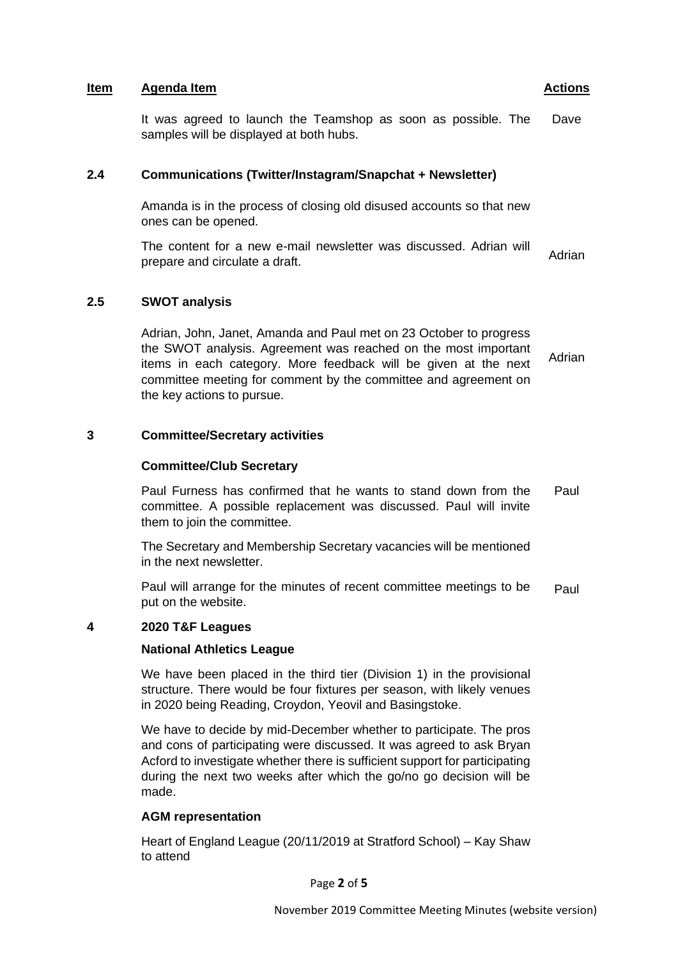## **Item Agenda Item Actions**

It was agreed to launch the Teamshop as soon as possible. The samples will be displayed at both hubs. Dave

# **2.4 Communications (Twitter/Instagram/Snapchat + Newsletter)**

Amanda is in the process of closing old disused accounts so that new ones can be opened.

The content for a new e-mail newsletter was discussed. Adrian will prepare and circulate a draft.

## **2.5 SWOT analysis**

Adrian, John, Janet, Amanda and Paul met on 23 October to progress the SWOT analysis. Agreement was reached on the most important items in each category. More feedback will be given at the next committee meeting for comment by the committee and agreement on the key actions to pursue. Adrian

## **3 Committee/Secretary activities**

## **Committee/Club Secretary**

Paul Furness has confirmed that he wants to stand down from the committee. A possible replacement was discussed. Paul will invite them to join the committee. Paul

The Secretary and Membership Secretary vacancies will be mentioned in the next newsletter.

Paul will arrange for the minutes of recent committee meetings to be put on the website. Paul

## **4 2020 T&F Leagues**

## **National Athletics League**

We have been placed in the third tier (Division 1) in the provisional structure. There would be four fixtures per season, with likely venues in 2020 being Reading, Croydon, Yeovil and Basingstoke.

We have to decide by mid-December whether to participate. The pros and cons of participating were discussed. It was agreed to ask Bryan Acford to investigate whether there is sufficient support for participating during the next two weeks after which the go/no go decision will be made.

# **AGM representation**

Heart of England League (20/11/2019 at Stratford School) – Kay Shaw to attend

Page **2** of **5**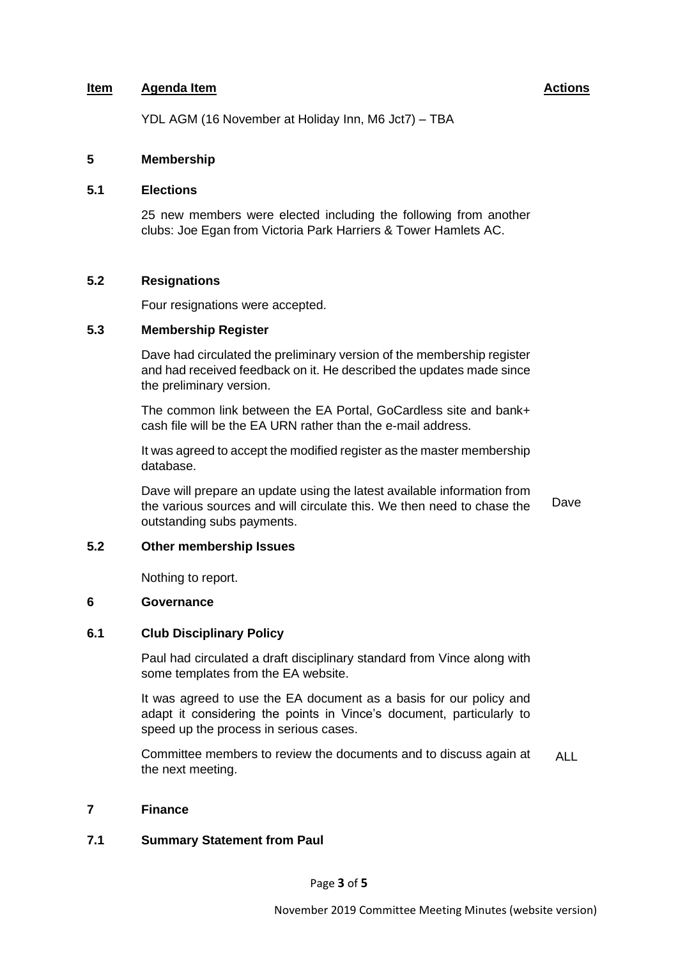## **Item Agenda Item Actions**

YDL AGM (16 November at Holiday Inn, M6 Jct7) – TBA

## **5 Membership**

## **5.1 Elections**

25 new members were elected including the following from another clubs: Joe Egan from Victoria Park Harriers & Tower Hamlets AC.

# **5.2 Resignations**

Four resignations were accepted.

## **5.3 Membership Register**

Dave had circulated the preliminary version of the membership register and had received feedback on it. He described the updates made since the preliminary version.

The common link between the EA Portal, GoCardless site and bank+ cash file will be the EA URN rather than the e-mail address.

It was agreed to accept the modified register as the master membership database.

Dave will prepare an update using the latest available information from the various sources and will circulate this. We then need to chase the outstanding subs payments. Dave

## **5.2 Other membership Issues**

Nothing to report.

## **6 Governance**

## **6.1 Club Disciplinary Policy**

Paul had circulated a draft disciplinary standard from Vince along with some templates from the EA website.

It was agreed to use the EA document as a basis for our policy and adapt it considering the points in Vince's document, particularly to speed up the process in serious cases.

Committee members to review the documents and to discuss again at the next meeting. ALL

## **7 Finance**

## **7.1 Summary Statement from Paul**

Page **3** of **5**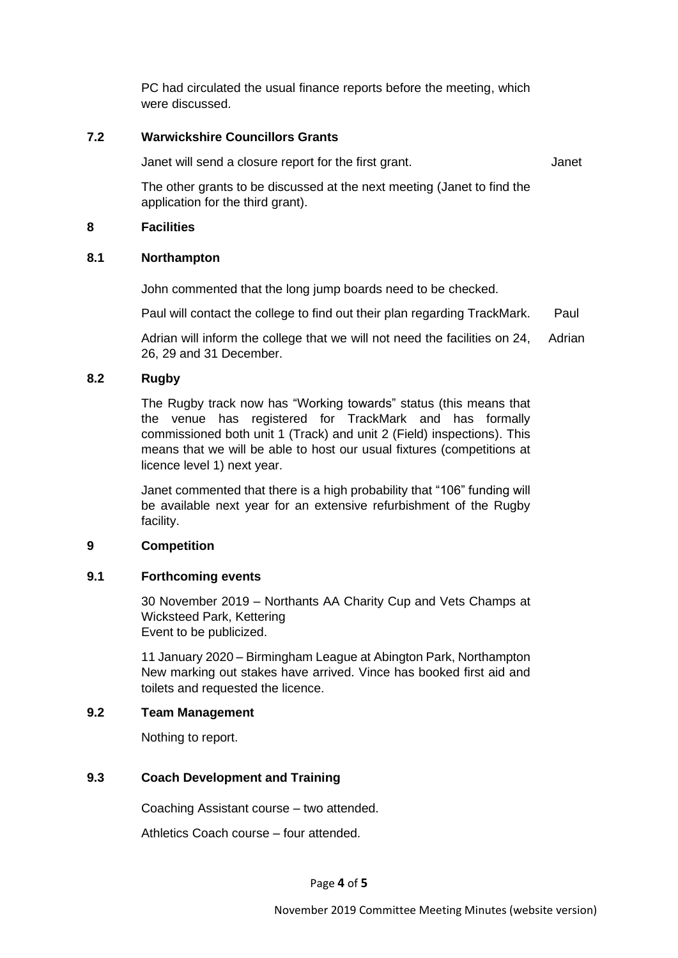PC had circulated the usual finance reports before the meeting, which were discussed.

## **7.2 Warwickshire Councillors Grants**

Janet will send a closure report for the first grant.

Janet

The other grants to be discussed at the next meeting (Janet to find the application for the third grant).

## **8 Facilities**

## **8.1 Northampton**

John commented that the long jump boards need to be checked.

Paul will contact the college to find out their plan regarding TrackMark. Paul

Adrian will inform the college that we will not need the facilities on 24, 26, 29 and 31 December. Adrian

## **8.2 Rugby**

The Rugby track now has "Working towards" status (this means that the venue has registered for TrackMark and has formally commissioned both unit 1 (Track) and unit 2 (Field) inspections). This means that we will be able to host our usual fixtures (competitions at licence level 1) next year.

Janet commented that there is a high probability that "106" funding will be available next year for an extensive refurbishment of the Rugby facility.

## **9 Competition**

## **9.1 Forthcoming events**

30 November 2019 – Northants AA Charity Cup and Vets Champs at Wicksteed Park, Kettering Event to be publicized.

11 January 2020 – Birmingham League at Abington Park, Northampton New marking out stakes have arrived. Vince has booked first aid and toilets and requested the licence.

## **9.2 Team Management**

Nothing to report.

# **9.3 Coach Development and Training**

Coaching Assistant course – two attended.

Athletics Coach course – four attended.